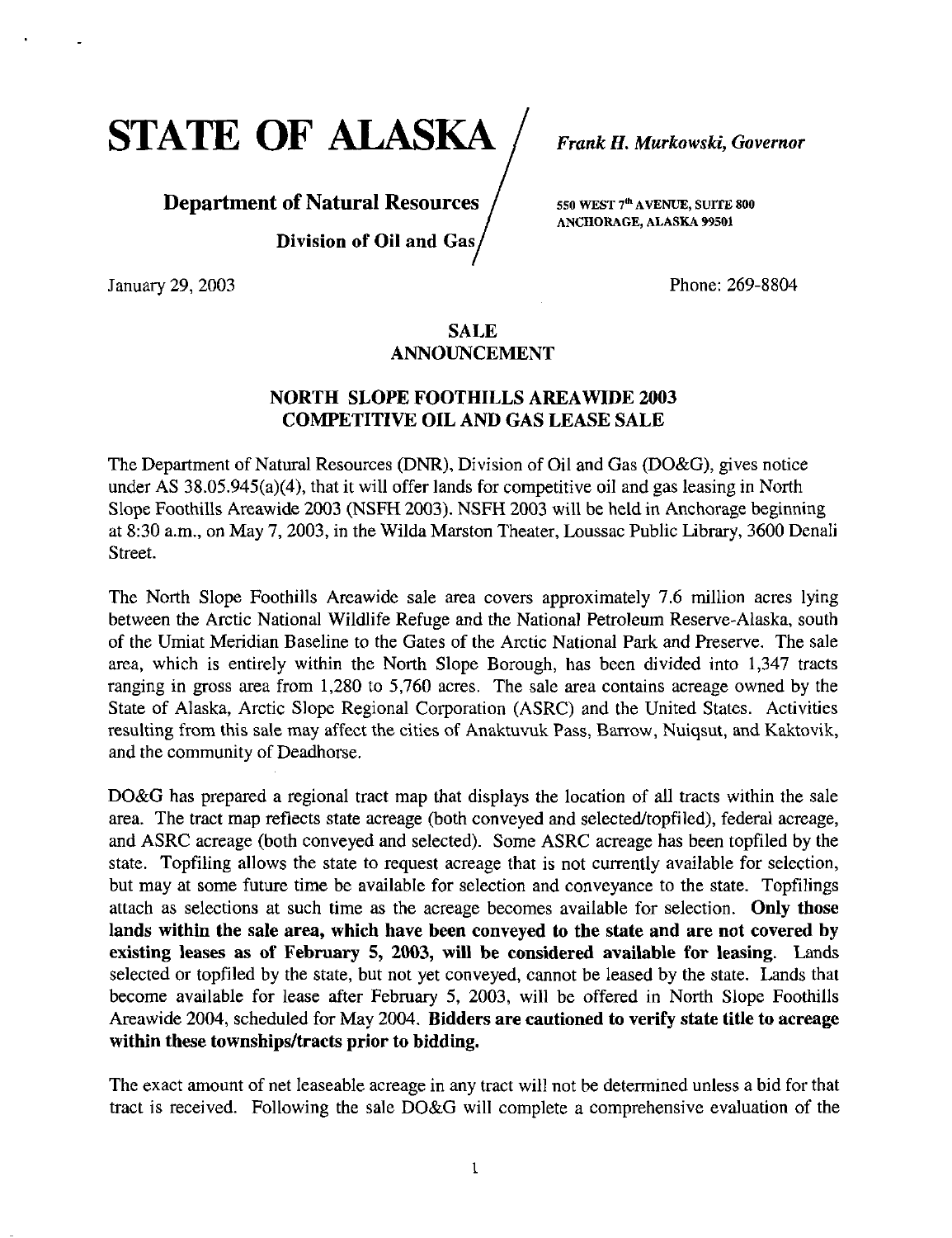STATE OF ALASKA / Frank H. Murkowski, Governor

# **Department of Natural Resources**  $\int$  sso WEST 7<sup>th</sup> AVENUE, SUITE 800 Division of Oil and Gas

ANCHORAGE, ALASKA 99501

January 29, 2003 Phone: 269-8804

# SALE ANNOUNCEMENT

# NORTH SLOPE FOOTHILLS AREAWIDE 2003 COMPETITIVE OIL AND GAS LEASE SALE

The Department of Natural Resources (DNR), Division of Oil and Gas (DO&G), gives notice under AS 38.05.945(a)(4), that it will offer lands for competitive oil and gas leasing in North Slope Foothills Areawide 2003 (NSFH 2003). NSFH 2003 will be held in Anchorage beginning at 8:30 a.m., on May 7, 2003, in the Wilda Marston Theater, Loussac Public Library, 3600 Denali Street.

The North Slope Foothills Areawide sale area covers approximately 7.6 million acres lying between the Arctic National Wildlife Refuge and the National Petroleum Reserve-Alaska, south of the Umiat Meridian Baseline to the Gates of the Arctic National Park and Preserve. The sale area, which is entirely within the North Slope Borough, has been divided into 1,347 tracts ranging in gross area from 1,280 to 5,760 acres. The sale area contains acreage owned by the State of Alaska, Arctic Slope Regional Corporation (ASRC) and the United States. Activities resulting from this sale may affect the cities of Anaktuvuk Pass, Barrow, Nuiqsut, and Kaktovik, and the community of Deadhorse.

DO&G has prepared a regional tract map that displays the location of all tracts within the sale area. The tract map reflects state acreage (both conveyed and selected/topfiled), federal acreage, and ASRC acreage (both conveyed and selected). Some ASRC acreage has been topfiled by the state. Topfihng allows the state to request acreage that is not currently available for selection, but may at some future time be available for selection and conveyance to the state. Topfilings attach as selections at such time as the acreage becomes available for selection. Only those lands within the sale area, which have been conveyed to the state and are not covered by existing leases as of February 5, 2003, will be considered available for leasing. Lands selected or topfiled by the state, but not yet conveyed, cannot be leased by the state. Lands that become available for lease after February 5, 2003, will be offered in North Slope Foothills Areawide 2004, scheduled for May 2004. Bidders are cautioned to verify state title to acreage within these townships/tracts prior to bidding.

The exact amount of net leaseable acreage in any tract will not be determined unless a bid for that tract is received. Following the sale DO&G will complete a comprehensive evaluation of the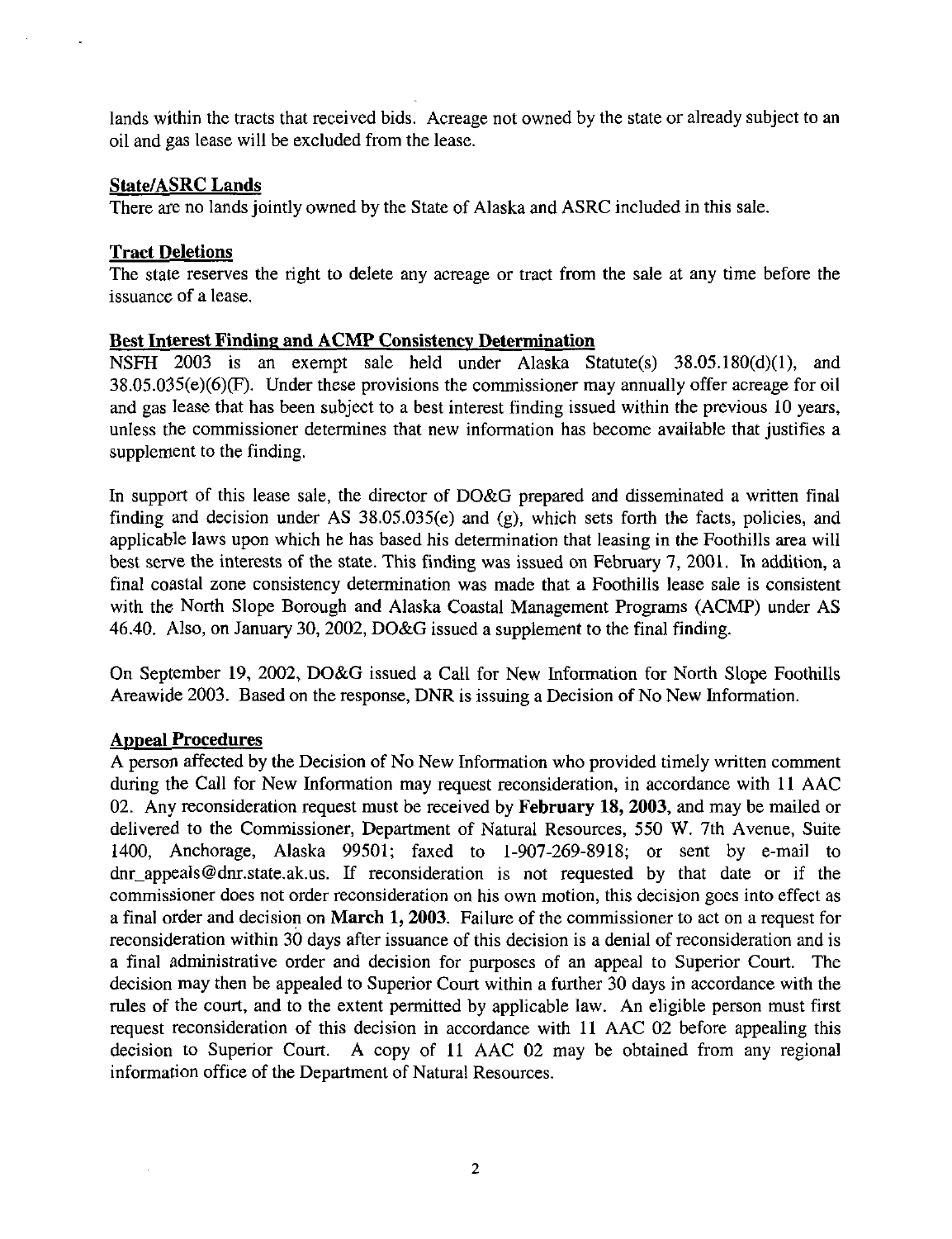lands within the tracts that received bids. Acreage not owned by the state or already subject to an oil and gas lease will be excluded from the lease.

## State/ASRC Lands

There are no lands jointiy owned by the State of Alaska and ASRC included in this sale.

# Tract Deletions

The stale reserves the right to delete any acreage or tract from the sale at any time before the issuance of a lease.

# Best Interest Finding and ACMP Consistency Determination

NSFH 2003 is an exempt sale held under Alaska Statute(s) 38.05.180(d)(1), and 38.05.035(e)(6)(F). Under these provisions the commissioner may annually offer acreage for oil and gas lease that has been subject to a best interest finding issued within the previous 10 years, unless the commissioner determines that new information has become available that justifies a supplement to the finding.

In support of this lease sale, the director of DO&G prepared and disseminated a written final finding and decision under AS 38.05.035(e) and (g), which sets forth the facts, policies, and applicable laws upon which he has based his determination that leasing in the Foothills area will best serve the interests of the state. This finding was issued on February 7, 2001. In addition, a final coastal zone consistency determination was made that a Foothills lease sale is consistent with the North Slope Borough and Alaska Coastal Management Programs (ACMP) under AS 46.40. Also, on January 30, 2002, DO&G issued a supplement to the final finding.

On September 19, 2002, DO&G issued a Call for New Information for North Slope Foothills Areawide 2003. Based on the response, DNR is issuing a Decision of No New Information.

# Anneal Procedures

A person affected by the Decision of No New Information who provided timely written comment during the Call for New Information may request reconsideration, in accordance with 11 AAC 02. Any reconsideration request must be received by February 18, 2003, and may be mailed or delivered to the Commissioner, Department of Natural Resources, 550 W, 7th Avenue, Suite 1400, Anchorage, Alaska 99501; faxed to 1-907-269-8918; or sent by e-mail to [dnr\\_appeals@dnr.state.ak.us.](mailto:dnr_appeals@dnr.state.ak.us) If reconsideration is not requested by that date or if the commissioner does not order reconsideration on his own motion, this decision goes into effect as a final order and decision on March 1, 2003. Failure of the commissioner to act on a request for reconsideration within 30 days after issuance of this decision is a denial of reconsideration and is a final administrative order and decision for purposes of an appeal to Superior Court. The decision may then be appealed to Superior Court within a further 30 days in accordance with the rules of the court, and to the extent permitted by applicable law. An eligible person must first request reconsideration of this decision in accordance with 11 AAC 02 before appealing this decision to Superior Court. A copy of 11 AAC 02 may be obtained from any regional information office of the Department of Natural Resources.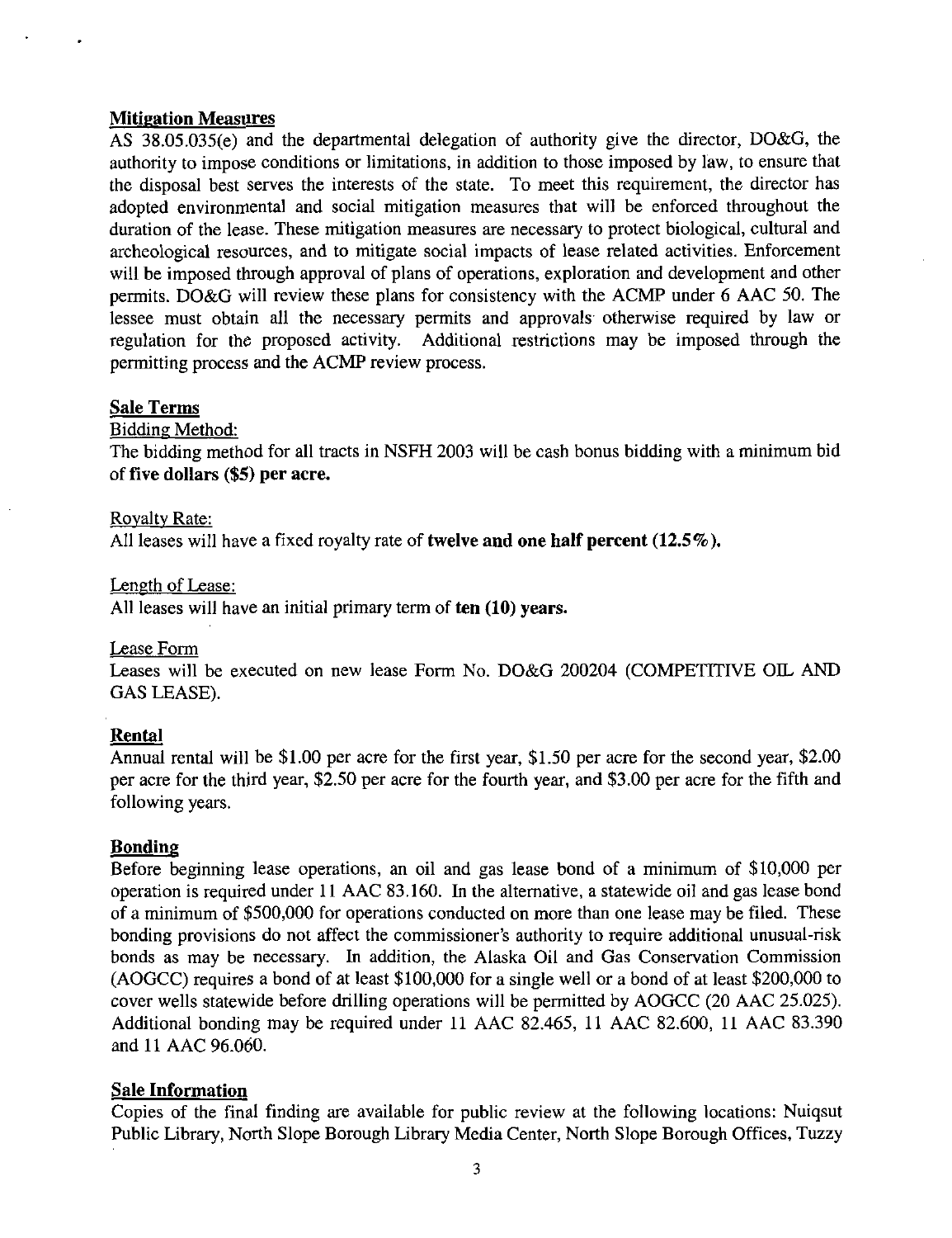#### Mitigation Measures

AS 38.05.035(e) and the departmental delegation of authority give the director, DO&G, the authority to impose conditions or limitations, in addition to those imposed by law, to ensure that the disposal best serves the interests of the state. To meet this requirement, the director has adopted environmental and social mitigation measures that will be enforced throughout the duration of the lease. These mitigation measures are necessary to protect biological, cultural and archeological resources, and to mitigate social impacts of lease related activities. Enforcement will be imposed through approval of plans of operations, exploration and development and other permits. DO&G will review these plans for consistency with the ACMP under 6 AAC 50. The lessee must obtain all the necessary permits and approvals otherwise required by law or regulation for the proposed activity. Additional restrictions may be imposed through the permitting process and the ACMP review process.

## Sale Terms

Bidding Method:

The bidding method for all tracts in NSFH 2003 will be cash bonus bidding with a minimum bid of five dollars (\$5) per acre.

#### Royalty Rate:

All leases will have a fixed royalty rate of twelve and one half percent (12.5%).

Length of Lease:

All leases will have an initial primary term of ten (10) years.

## Lease Form

Leases will be executed on new lease Form No. DO&G 200204 (COMPETITIVE OIL AND GAS LEASE).

## Rental

Annual rental will be \$1.00 per acre for the first year, \$1.50 per acre for the second year, \$2.00 per acre for the third year, \$2.50 per acre for the fourth year, and \$3.00 per acre for the fifth and following years.

## Bonding

Before beginning lease operations, an oil and gas lease bond of a minimum of \$10,000 per operation is required under 11 AAC 83.160. In the alternative, a statewide oil and gas lease bond of a minimum of \$500,000 for operations conducted on more than one lease may be filed. These bonding provisions do not affect the commissioner's authority to require additional unusual-risk bonds as may be necessary. In addition, the Alaska Oil and Gas Conservation Commission (AOGCC) requires a bond of at least \$100,000 for a single well or a bond of at least \$200,000 to cover wells statewide before drilling operations will be permitted by AOGCC (20 AAC 25.025). Additional bonding may be required under 11 AAC 82.465, 11 AAC 82.600, 11 AAC 83.390 and 11 AAC 96.060.

## Sale Information

Copies of the final finding are available for public review at the following locations: Nuiqsut Public Library, North Slope Borough Library Media Center, North Slope Borough Offices, Tuzzy